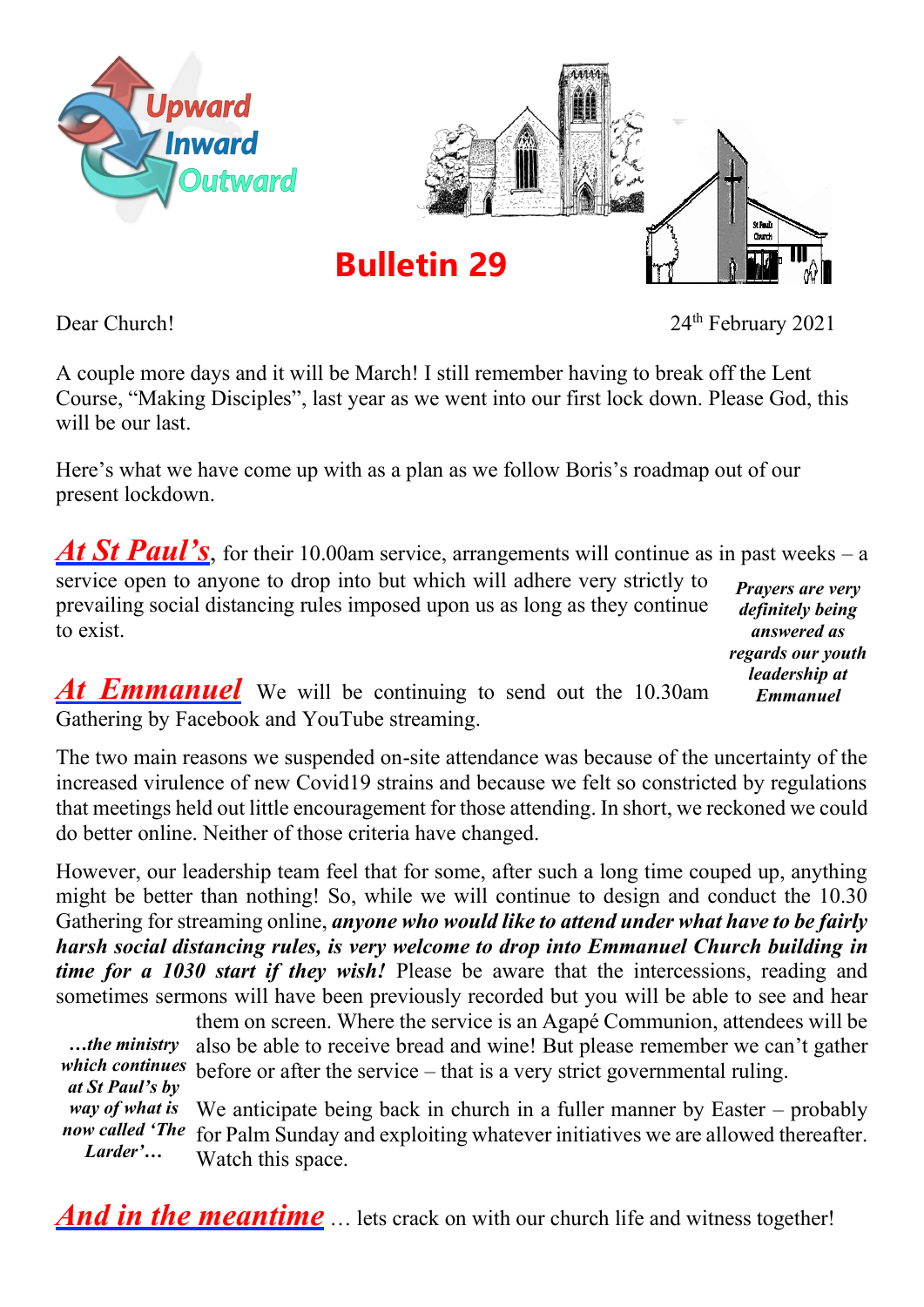

Dear Church! 2021

A couple more days and it will be March! I still remember having to break off the Lent Course, "Making Disciples", last year as we went into our first lock down. Please God, this will be our last.

Here's what we have come up with as a plan as we follow Boris's roadmap out of our present lockdown.

At St Paul's, for their 10.00am service, arrangements will continue as in past weeks – a service open to anyone to drop into but which will adhere very strictly to *Prayers are very* 

prevailing social distancing rules imposed upon us as long as they continue to exist.

*definitely being answered as regards our youth leadership at Emmanuel*

*At Emmanuel* We will be continuing to send out the 10.30am Gathering by Facebook and YouTube streaming.

The two main reasons we suspended on-site attendance was because of the uncertainty of the increased virulence of new Covid19 strains and because we felt so constricted by regulations that meetings held out little encouragement for those attending. In short, we reckoned we could do better online. Neither of those criteria have changed.

However, our leadership team feel that for some, after such a long time couped up, anything might be better than nothing! So, while we will continue to design and conduct the 10.30 Gathering for streaming online, *anyone who would like to attend under what have to be fairly harsh social distancing rules, is very welcome to drop into Emmanuel Church building in time for a 1030 start if they wish!* Please be aware that the intercessions, reading and sometimes sermons will have been previously recorded but you will be able to see and hear

them on screen. Where the service is an Agapé Communion, attendees will be also be able to receive bread and wine! But please remember we can't gather which continues before or after the service – that is a very strict governmental ruling. We anticipate being back in church in a fuller manner by Easter – probably for Palm Sunday and exploiting whatever initiatives we are allowed thereafter. *now called 'The*  Watch this space. *…the ministry at St Paul's by way of what is Larder'…*

*And in the meantime* ... lets crack on with our church life and witness together!